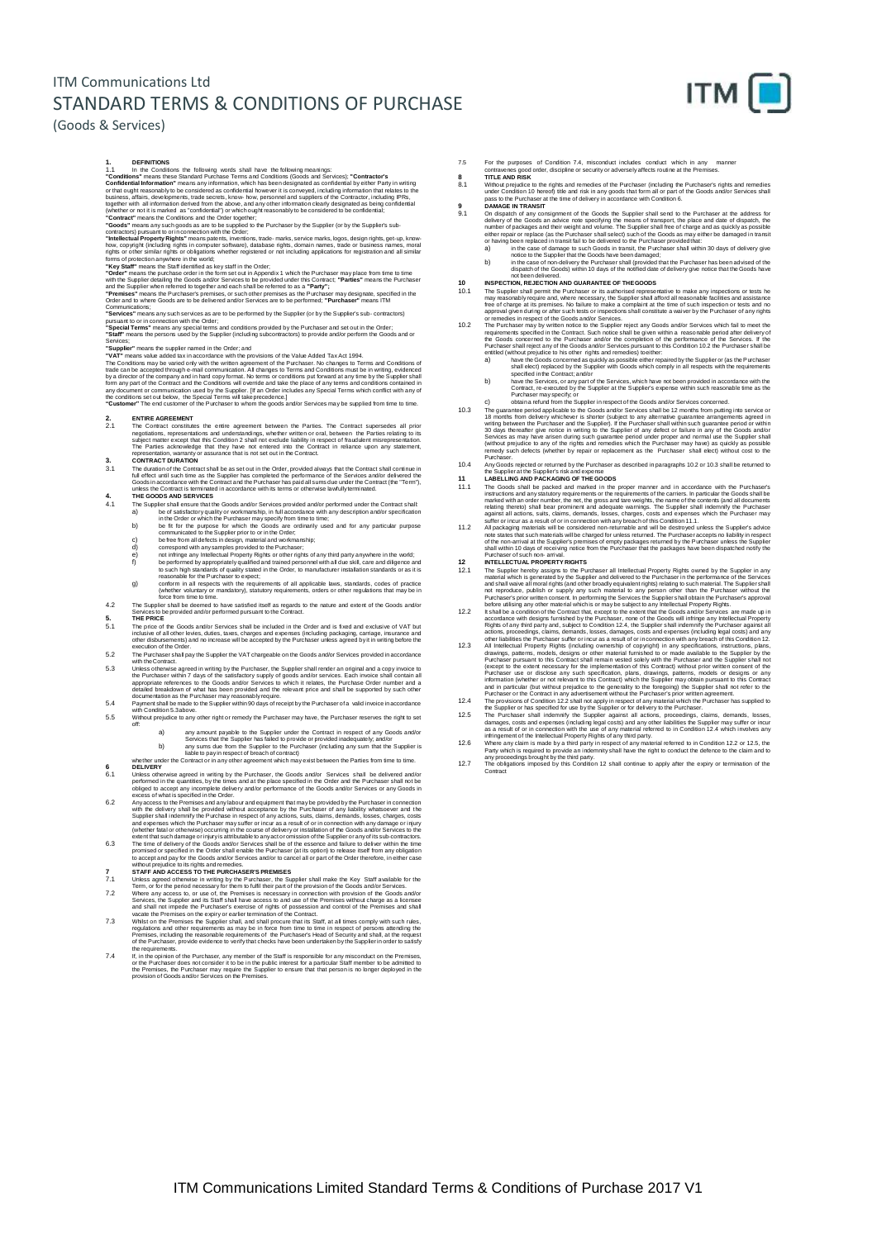## ITM Communications Ltd STANDARD TERMS & CONDITIONS OF PURCHASE



### (Goods & Services)

- 1. DEFINITIONS<br>
1.1 In the Conditions: the following words shall have the following meanings:<br>
1.1 In the Conditions' means these Stardard Purchase Terms and Conditions (Goods and Senvices); "Contractor's<br>
"Conditions" inc
- 
- 
- 

## with the Supplier detailing the Goods and/or Services to be provided under this Contract; "**Parties"** means the Purchaser<br>"Premises" means the Purchaser's premises, or such other premises as the Purchaser may designate, sp

- 
- Communications;<br>"Services" means any such services as are to be performed by the Supplier (or by the Supplier's sub- contractors)<br>pursuant to or in connection with the Order;<br>"Special Terms" means any special terms and con

### **"Supplier"** means the supplier named in the Order; and

"**VAT**" means value added tax in accordance with the provisions of the Value Added Tax Act 1994.<br>The Conditions may be varied only with the written agreement of the Purchaser. No changes to Terms and Conditions of<br>trade ca by a director of the company and in hard copy format. No terms or conditions put forward at any time by the Supplier shall<br>form any part of the Contract and the Conditions will override and take the place of any terms and

## **2. ENTIRE AGREEMENT**

- 2.1 The Contract constitutes the entire agreement between the Parties. The Contract supersedes all prior negotiations, representations and understandings, whether withten or oral, between the Parties entiring biselect matt
- **3. CONTRACT DURATION**<br> **3.1 The duration of the Contri** The duration of the Contract shall be as set out in the Order, provided always that the Contract shall continue in<br>full effect until such time as the Supplier has completed the performance of the Services and/or delivered
- -
	-
	-
	-
- 4. The GOODS AND SERVICES<br>
THE GOODS And/or Services provided and/or performed under the Contract shall<br>
the of satisfactory quality or workmanship, in full accordance with any description and/or specification<br>
in the Orde
	- g) conform in all respects with the requirements of all applicable laws, standards, codes of practice (whether voluntary or mandatory), statutory requirements, orders or other regulations that may be in
- 
- force from time to time on<br>The Supplier shall be deemed to have satisfied itself as regards to the nature and extent of the Goods and/or<br>Services to be provided and/or performed pursuant to the Contract.<br>5. THE PRICE<br>The p
- 5.2 The Purchaser shall pay the Supplier the VAT chargeable on the Goods and/or Services provided in accordance
- with the Contract.<br>5.3 Unless otherwise agreed in writing by the Purchaser, the Supplier shall render an original and a copy invoice to<br> the Purchaser within 7 days of the satisfactory supply of goods an appropriate references to the Goods and/or Services to which it relates, the Purchase Order number and a<br>detailed breakdown of what has been provided and the relevant price and shall be supported by such other<br>documentatio
- 5.4 Payment shall be made to the Supplier within 90 days of receipt by the Purchaser of a valid invoice in accordance with Condition 5.3above. 5.5 Without prejudice to any other right or remedy the Purchaser may have, the Purchaser reserves the right to set off:
	-
- a) any amount payable to the Supplier under the Contract in respect of any Goods and/or Services that the Supplier has failed to provide or provided inadequately; and/or<br>b) any sums due from the Supplier to the Purchaser (

- 6.1 Unleas otherwise agreed in writing by the Purchaser, the Goods and/or Services shall be delivered and/or<br>performed in the quantities, by the times and at the place specified in the Order and the Purchaser shall not be<br>
- Any access to the Premises and any labour and equipment that may be provided by the Purchaser in connection<br>with the delivery shall be provided without acceptance by the Purchaser of any lability whatsoever and the<br>Supplie
- 6.3 The time of delivery of the Goods and/or Services shall be of the essence and failure to deliver within the time<br>promised or specified in the Order shall enable the Purchaser (at its option) to release itself from any without prejudice to its rights and remedies.<br>The STAFF AND ACCESS TO THE PURCHASER'S PREMISES<br>The Unless agreed otherwise in writing by the Purchaser, the Supplier shall make the Key Staff available for the The Theory of
- 
- 7.2 Where any access to, or use of, the Premises is necessary in connection with provision of the Goods and/or<br>Services, the Supplier and its Staff shall have access to and use of the Premises without charge as a license<br>a
- Premises, including the reasonable requirements of the Purchaser's Head of Security and shall, at the request<br>of the Purchaser, provide evidence to verify that checks have been undertaken by the Supplier in order to satis
- If, in the opinion of the Purchaser, any member of the Staff is responsible for any misconduct on the Premises,<br>or the Purchaser does not consider it to be in the public interest for a particular Staff member to be admitte
- 
- 7.5 For the purposes of Condition 7.4, misconduct includes conduct which in any manner<br>contravenes good order, discipline or security or adversely affects routine at the Premises.<br>TITLE AND RISK<br>3.1 Without prejudice to th
- 
- 9.1 On dispatch of any consignment of the Goods me Supplier shall send to the Purchaser at the address for<br>delivery of the Goods an advice note specifying the means of transport, the place and date of dispatch, the<br>number
	-
- 
- 
- 10. INSPECTION, REJECTION AND GUARANTEE OF THE GOODS<br>The Supplier shall permit the Purchaser or its authorised representative to make any inspections or tests he<br>may reasonably require and, where necessary, the Supplier sh
	- a) have the Goods concerned as quickly as possible either repaired by the Supplier or (as the Purchaser<br>shall elect) replaced by the Supplier with Goods which comply in all respects with the requirements<br>specified in the C
	- b) have the Services, or any part of the Services, which have not been provided in accordance with the<br>Contract, re-executed by the Supplier at the Supplier's expense within such reasonable time as the<br>Purchaser may specif
- c) obtaina refund from the Supplier in respect of the Goods and/or Services concerned. The guarantee period applicable to the Goods and/or Services shall to 12 months from putting into service or 18 months form delivery whichever is shorter (subject to any alternative guarantee arrangements agreed in writing
- 10.4 That Goods rejected or returned by the Purchaser as described in paragraphs 10.2 or 10.3 shall be returned to<br>the Supplier at the Supplier's risk and expense<br>11.1 The Goods shall be packed and marked in the proper man
- 
- marked with an order number, the my the gross and tare weights, the name of the contents (and all documents<br>relating thereto) shall bear prominent and adequate warnings. The Suppler shall indemnify the Purchaser<br>against al
- Purchaser of such non- arrival.<br>INTELLECTUAL PROPERTY RIGHTS
- 
- 
- 
- 12.1 INTELLECTUAL PROPERTY RIGHITS<br>
INTELLECTUAL PROPERTY RIGHITS (THE SUPPERTY RIGHITS (THE SUPPERTY RIGHITS (THE SUPPERTY AND and that that is generated by the Supplier shall not all that such and shall wavive all montal
- 
- Purchaser or the Contract in any advertisement without the Purchaser's prior witten agreement.<br>The provisions of Condition 122 shall not apply in respect of any material which the Purchaser.<br>The provisions of Condition 122
-